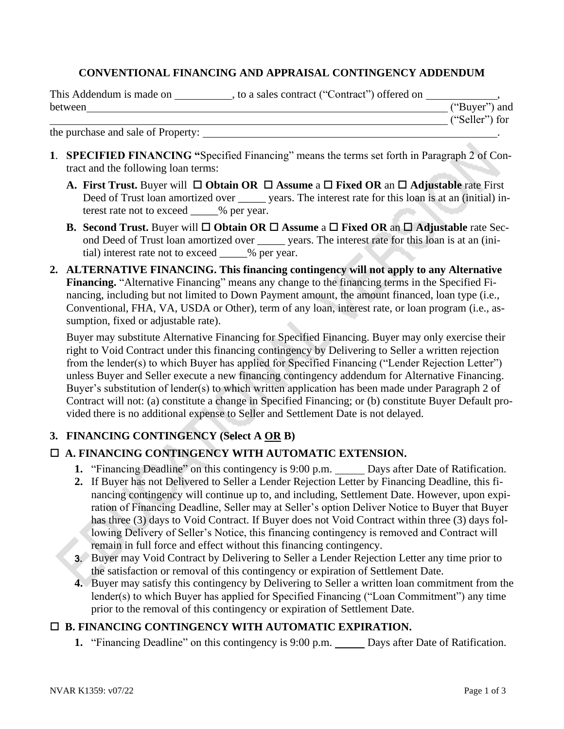## **CONVENTIONAL FINANCING AND APPRAISAL CONTINGENCY ADDENDUM**

| This Addendum is made on | to a sales contract ("Contract") offered on |                |  |
|--------------------------|---------------------------------------------|----------------|--|
| <b>between</b>           |                                             | ("Buyer") and  |  |
|                          |                                             | ("Seller") for |  |

the purchase and sale of Property: .

- **1**. **SPECIFIED FINANCING "**Specified Financing" means the terms set forth in Paragraph 2 of Contract and the following loan terms:
	- **A. First Trust.** Buyer will **Obtain OR Assume** a **Fixed OR** an **Adjustable** rate First Deed of Trust loan amortized over vears. The interest rate for this loan is at an (initial) interest rate not to exceed  $\%$  per year.
	- **B.** Second Trust. Buyer will  $\Box$  Obtain OR  $\Box$  Assume a  $\Box$  Fixed OR an  $\Box$  Adjustable rate Second Deed of Trust loan amortized over \_\_\_\_\_ years. The interest rate for this loan is at an (initial) interest rate not to exceed \_\_\_\_\_% per year.
- **2. ALTERNATIVE FINANCING. This financing contingency will not apply to any Alternative Financing.** "Alternative Financing" means any change to the financing terms in the Specified Financing, including but not limited to Down Payment amount, the amount financed, loan type (i.e., Conventional, FHA, VA, USDA or Other), term of any loan, interest rate, or loan program (i.e., assumption, fixed or adjustable rate).

Buyer may substitute Alternative Financing for Specified Financing. Buyer may only exercise their right to Void Contract under this financing contingency by Delivering to Seller a written rejection from the lender(s) to which Buyer has applied for Specified Financing ("Lender Rejection Letter") unless Buyer and Seller execute a new financing contingency addendum for Alternative Financing. Buyer's substitution of lender(s) to which written application has been made under Paragraph 2 of Contract will not: (a) constitute a change in Specified Financing; or (b) constitute Buyer Default provided there is no additional expense to Seller and Settlement Date is not delayed.

# **3. FINANCING CONTINGENCY (Select A OR B)**

### **A. FINANCING CONTINGENCY WITH AUTOMATIC EXTENSION.**

- 1. "Financing Deadline" on this contingency is 9:00 p.m. \_\_\_\_\_\_ Days after Date of Ratification.
- **2.** If Buyer has not Delivered to Seller a Lender Rejection Letter by Financing Deadline, this financing contingency will continue up to, and including, Settlement Date. However, upon expiration of Financing Deadline, Seller may at Seller's option Deliver Notice to Buyer that Buyer has three (3) days to Void Contract. If Buyer does not Void Contract within three (3) days following Delivery of Seller's Notice, this financing contingency is removed and Contract will remain in full force and effect without this financing contingency.
- 3. Buyer may Void Contract by Delivering to Seller a Lender Rejection Letter any time prior to the satisfaction or removal of this contingency or expiration of Settlement Date.
- **4.** Buyer may satisfy this contingency by Delivering to Seller a written loan commitment from the lender(s) to which Buyer has applied for Specified Financing ("Loan Commitment") any time prior to the removal of this contingency or expiration of Settlement Date.

### **B. FINANCING CONTINGENCY WITH AUTOMATIC EXPIRATION.**

**1.** "Financing Deadline" on this contingency is 9:00 p.m. Days after Date of Ratification.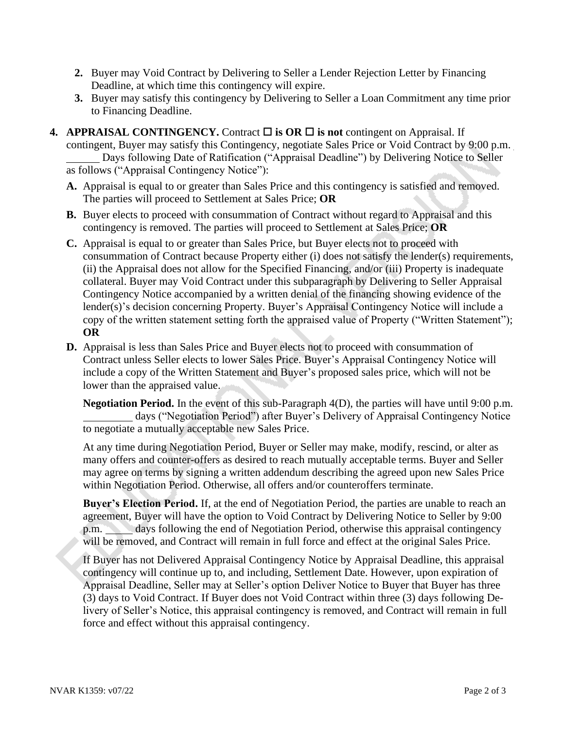- **2.** Buyer may Void Contract by Delivering to Seller a Lender Rejection Letter by Financing Deadline, at which time this contingency will expire.
- **3.** Buyer may satisfy this contingency by Delivering to Seller a Loan Commitment any time prior to Financing Deadline.
- **4. APPRAISAL CONTINGENCY.** Contract  $\Box$  is OR  $\Box$  is not contingent on Appraisal. If contingent, Buyer may satisfy this Contingency, negotiate Sales Price or Void Contract by 9:00 p.m. Days following Date of Ratification ("Appraisal Deadline") by Delivering Notice to Seller as follows ("Appraisal Contingency Notice"):
	- **A.** Appraisal is equal to or greater than Sales Price and this contingency is satisfied and removed. The parties will proceed to Settlement at Sales Price; **OR**
	- **B.** Buyer elects to proceed with consummation of Contract without regard to Appraisal and this contingency is removed. The parties will proceed to Settlement at Sales Price; **OR**
	- **C.** Appraisal is equal to or greater than Sales Price, but Buyer elects not to proceed with consummation of Contract because Property either (i) does not satisfy the lender(s) requirements, (ii) the Appraisal does not allow for the Specified Financing, and/or (iii) Property is inadequate collateral. Buyer may Void Contract under this subparagraph by Delivering to Seller Appraisal Contingency Notice accompanied by a written denial of the financing showing evidence of the lender(s)'s decision concerning Property. Buyer's Appraisal Contingency Notice will include a copy of the written statement setting forth the appraised value of Property ("Written Statement"); **OR**
	- **D.** Appraisal is less than Sales Price and Buyer elects not to proceed with consummation of Contract unless Seller elects to lower Sales Price. Buyer's Appraisal Contingency Notice will include a copy of the Written Statement and Buyer's proposed sales price, which will not be lower than the appraised value.

**Negotiation Period.** In the event of this sub-Paragraph 4(D), the parties will have until 9:00 p.m. days ("Negotiation Period") after Buyer's Delivery of Appraisal Contingency Notice to negotiate a mutually acceptable new Sales Price.

At any time during Negotiation Period, Buyer or Seller may make, modify, rescind, or alter as many offers and counter-offers as desired to reach mutually acceptable terms. Buyer and Seller may agree on terms by signing a written addendum describing the agreed upon new Sales Price within Negotiation Period. Otherwise, all offers and/or counteroffers terminate.

**Buyer's Election Period.** If, at the end of Negotiation Period, the parties are unable to reach an agreement, Buyer will have the option to Void Contract by Delivering Notice to Seller by 9:00 p.m. days following the end of Negotiation Period, otherwise this appraisal contingency will be removed, and Contract will remain in full force and effect at the original Sales Price.

If Buyer has not Delivered Appraisal Contingency Notice by Appraisal Deadline, this appraisal contingency will continue up to, and including, Settlement Date. However, upon expiration of Appraisal Deadline, Seller may at Seller's option Deliver Notice to Buyer that Buyer has three (3) days to Void Contract. If Buyer does not Void Contract within three (3) days following Delivery of Seller's Notice, this appraisal contingency is removed, and Contract will remain in full force and effect without this appraisal contingency.